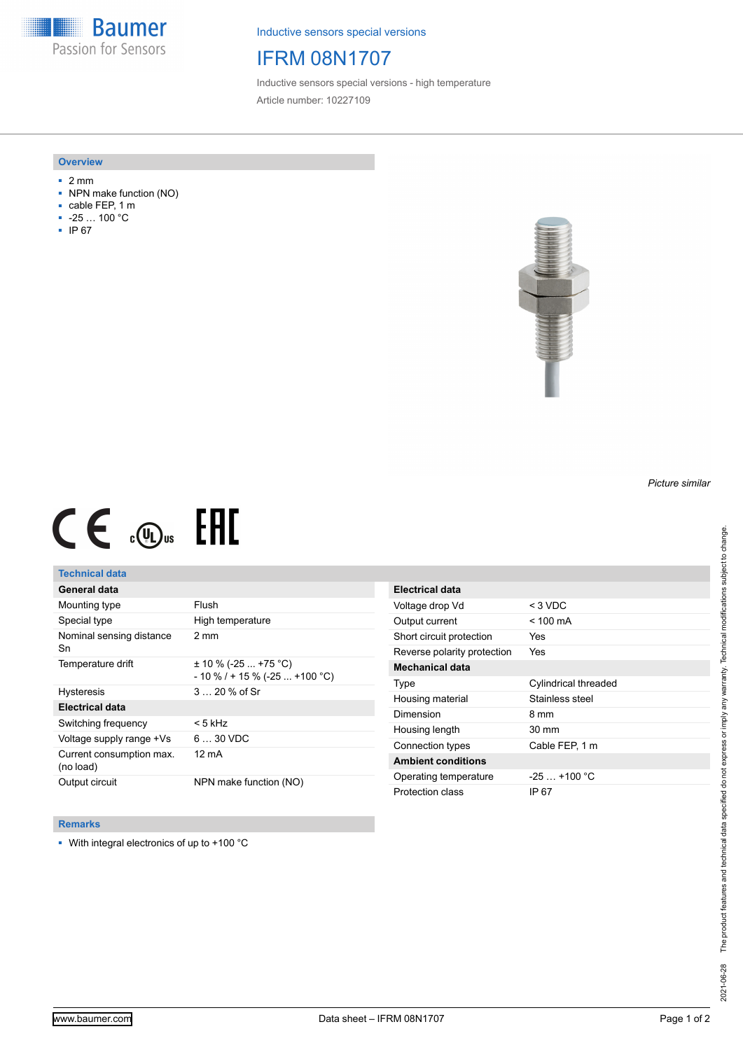**Baumer** Passion for Sensors

Inductive sensors special versions

# IFRM 08N1707

Inductive sensors special versions - high temperature Article number: 10227109

#### **Overview**

- 2 mm
- NPN make function (NO)
- cable FEP, 1 m
- -25 … 100 °C
- IP 67



# $CE \mathcal{L}$  (Dus FRE

## **Technical data**

## **General data**

| Mounting type                         | Flush                                                       |
|---------------------------------------|-------------------------------------------------------------|
| Special type                          | High temperature                                            |
| Nominal sensing distance<br>Sn        | $2 \text{ mm}$                                              |
| Temperature drift                     | $\pm$ 10 % (-25  +75 °C)<br>$-10\%$ / + 15 % (-25  +100 °C) |
| <b>Hysteresis</b>                     | $320%$ of Sr                                                |
| <b>Electrical data</b>                |                                                             |
| Switching frequency                   | < 5 kHz                                                     |
| Voltage supply range +Vs              | $630$ VDC                                                   |
| Current consumption max.<br>(no load) | 12 mA                                                       |
| Output circuit                        | NPN make function (NO)                                      |

| Electrical data             |                      |
|-----------------------------|----------------------|
| Voltage drop Vd             | $<$ 3 VDC            |
| Output current              | $< 100 \text{ mA}$   |
| Short circuit protection    | Yes                  |
| Reverse polarity protection | Yes                  |
| <b>Mechanical data</b>      |                      |
| Type                        | Cylindrical threaded |
| Housing material            | Stainless steel      |
| Dimension                   | 8 mm                 |
| Housing length              | 30 mm                |
| Connection types            | Cable FEP, 1 m       |
| <b>Ambient conditions</b>   |                      |
| Operating temperature       | $-25+100 °C$         |
| Protection class            | IP 67                |

### **Remarks**

■ With integral electronics of up to +100 °C

*Picture similar*